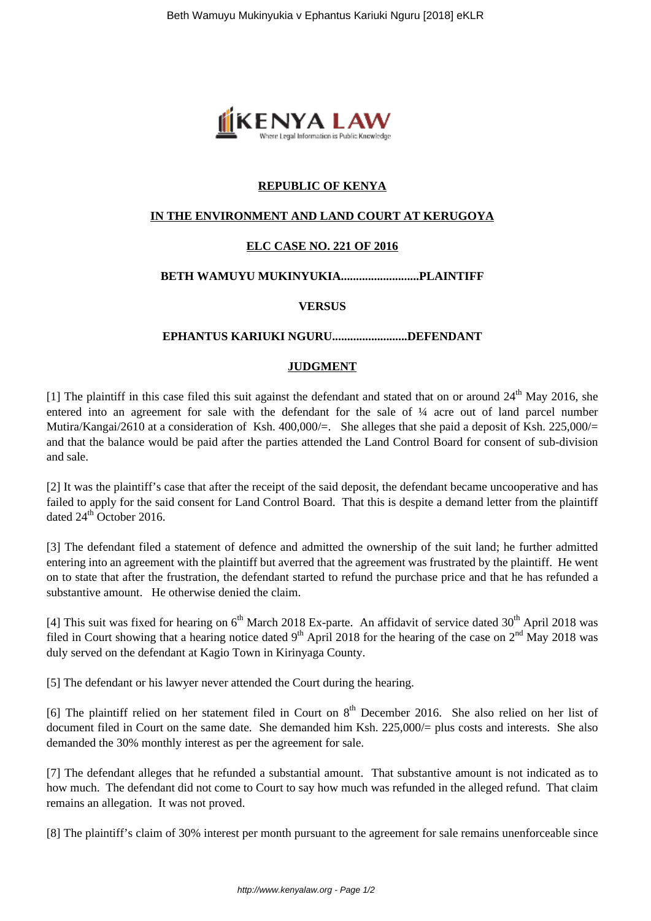

# **REPUBLIC OF KENYA**

# **IN THE ENVIRONMENT AND LAND COURT AT KERUGOYA**

# **ELC CASE NO. 221 OF 2016**

## **BETH WAMUYU MUKINYUKIA..........................PLAINTIFF**

## **VERSUS**

#### **EPHANTUS KARIUKI NGURU.........................DEFENDANT**

## **JUDGMENT**

[1] The plaintiff in this case filed this suit against the defendant and stated that on or around  $24<sup>th</sup>$  May 2016, she entered into an agreement for sale with the defendant for the sale of ¼ acre out of land parcel number Mutira/Kangai/2610 at a consideration of Ksh. 400,000/=. She alleges that she paid a deposit of Ksh. 225,000/= and that the balance would be paid after the parties attended the Land Control Board for consent of sub-division and sale.

[2] It was the plaintiff's case that after the receipt of the said deposit, the defendant became uncooperative and has failed to apply for the said consent for Land Control Board. That this is despite a demand letter from the plaintiff dated  $24^{th}$  October 2016.

[3] The defendant filed a statement of defence and admitted the ownership of the suit land; he further admitted entering into an agreement with the plaintiff but averred that the agreement was frustrated by the plaintiff. He went on to state that after the frustration, the defendant started to refund the purchase price and that he has refunded a substantive amount. He otherwise denied the claim.

[4] This suit was fixed for hearing on 6<sup>th</sup> March 2018 Ex-parte. An affidavit of service dated 30<sup>th</sup> April 2018 was filed in Court showing that a hearing notice dated  $9<sup>th</sup>$  April 2018 for the hearing of the case on  $2<sup>nd</sup>$  May 2018 was duly served on the defendant at Kagio Town in Kirinyaga County.

[5] The defendant or his lawyer never attended the Court during the hearing.

[6] The plaintiff relied on her statement filed in Court on 8<sup>th</sup> December 2016. She also relied on her list of document filed in Court on the same date. She demanded him Ksh. 225,000/= plus costs and interests. She also demanded the 30% monthly interest as per the agreement for sale.

[7] The defendant alleges that he refunded a substantial amount. That substantive amount is not indicated as to how much. The defendant did not come to Court to say how much was refunded in the alleged refund. That claim remains an allegation. It was not proved.

[8] The plaintiff's claim of 30% interest per month pursuant to the agreement for sale remains unenforceable since